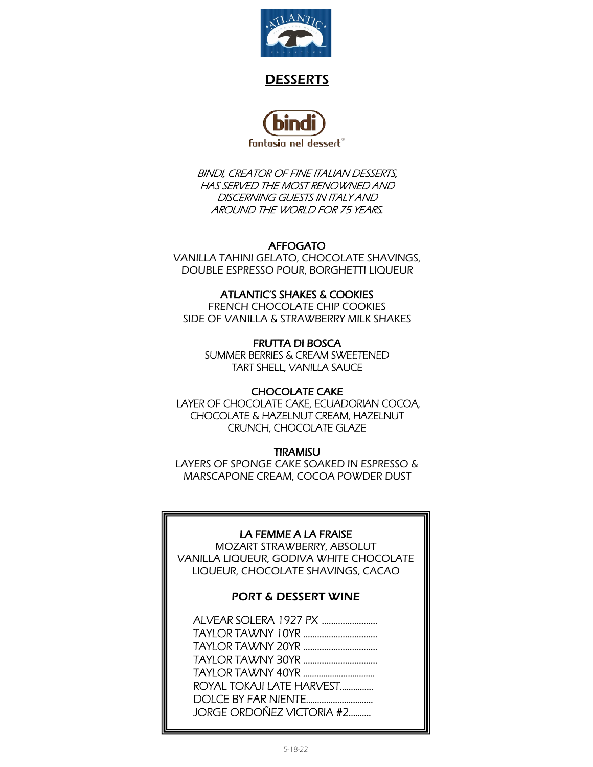

# DESSERTS



BINDI, CREATOR OF FINE ITALIAN DESSERTS, HAS SERVED THE MOST RENOWNED AND DISCERNING GUESTS IN ITALY AND AROUND THE WORLD FOR 75 YEARS.

## AFFOGATO

VANILLA TAHINI GELATO, CHOCOLATE SHAVINGS, DOUBLE ESPRESSO POUR, BORGHETTI LIQUEUR

## ATLANTIC'S SHAKES & COOKIES

FRENCH CHOCOLATE CHIP COOKIES SIDE OF VANILLA & STRAWBERRY MILK SHAKES

FRUTTA DI BOSCA SUMMER BERRIES & CREAM SWEETENED TART SHELL, VANILLA SAUCE

### CHOCOLATE CAKE

 LAYER OF CHOCOLATE CAKE, ECUADORIAN COCOA, CHOCOLATE & HAZELNUT CREAM, HAZELNUT CRUNCH, CHOCOLATE GLAZE

### **TIRAMISU**

LAYERS OF SPONGE CAKE SOAKED IN ESPRESSO & MARSCAPONE CREAM, COCOA POWDER DUST

### LA FEMME A LA FRAISE

MOZART STRAWBERRY, ABSOLUT VANILLA LIQUEUR, GODIVA WHITE CHOCOLATE LIQUEUR, CHOCOLATE SHAVINGS, CACAO

## PORT & DESSERT WINE

| ROYAL TOKAJI LATE HARVEST |
|---------------------------|
|                           |
| JORGE ORDOÑEZ VICTORIA #2 |